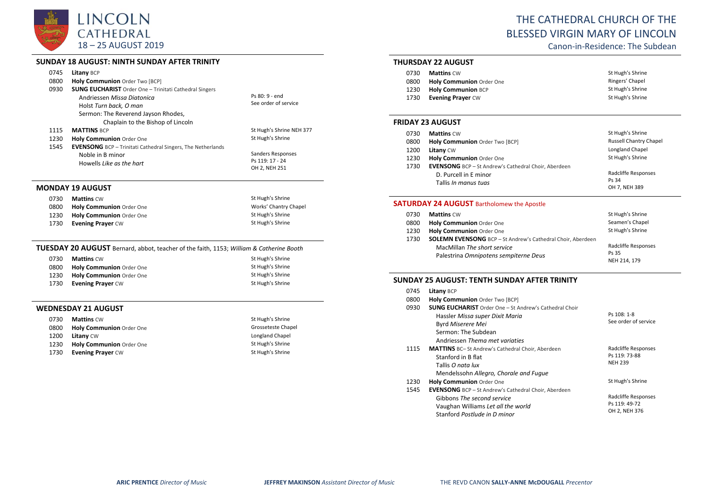

# **SUNDAY 18 AUGUST: NINTH SUNDAY AFTER TRINITY**

|      | ו וויווווו וה והשווטכ ווויוויו. וכטטסה טב והשווטכ                                                                                                            |                                                       |
|------|--------------------------------------------------------------------------------------------------------------------------------------------------------------|-------------------------------------------------------|
| 0745 | <b>Litany BCP</b>                                                                                                                                            |                                                       |
| 0800 | Holy Communion Order Two [BCP]                                                                                                                               |                                                       |
| 0930 | <b>SUNG EUCHARIST</b> Order One - Trinitati Cathedral Singers<br>Andriessen Missa Diatonica<br>Holst Turn back, O man<br>Sermon: The Reverend Jayson Rhodes, | Ps 80: 9 - end<br>See order of service                |
| 1115 | Chaplain to the Bishop of Lincoln<br><b>MATTINS BCP</b>                                                                                                      | St Hugh's Shrine NEH 377                              |
| 1230 | Holy Communion Order One                                                                                                                                     | St Hugh's Shrine                                      |
| 1545 | <b>EVENSONG</b> BCP - Trinitati Cathedral Singers, The Netherlands<br>Noble in B minor<br>Howells Like as the hart                                           | Sanders Responses<br>Ps 119: 17 - 24<br>OH 2, NEH 251 |
|      | <b>MONDAY 19 AUGUST</b>                                                                                                                                      |                                                       |
| 0730 | <b>Mattins CW</b>                                                                                                                                            | St Hugh's Shrine                                      |
| 0800 | <b>Holy Communion Order One</b>                                                                                                                              | Works' Chantry Chapel                                 |
| 1230 | <b>Holy Communion Order One</b>                                                                                                                              | St Hugh's Shrine                                      |
| 1730 | <b>Evening Prayer CW</b>                                                                                                                                     | St Hugh's Shrine                                      |

# **TUESDAY 20 AUGUST** Bernard, abbot, teacher of the faith, 1153; *William & Catherine Booth*

| 0730 | <b>Mattins</b> CW        | St Hugh's Shrine |
|------|--------------------------|------------------|
| 0800 | Holy Communion Order One | St Hugh's Shrine |
| 1230 | Holy Communion Order One | St Hugh's Shrine |
| 1730 | <b>Evening Prayer CW</b> | St Hugh's Shrine |

# **WEDNESDAY 21 AUGUST**

| 0730 | <b>Mattins CW</b>               | St Hugh's Shrine   |
|------|---------------------------------|--------------------|
| 0800 | Holy Communion Order One        | Grosseteste Chapel |
| 1200 | <b>Litany CW</b>                | Longland Chapel    |
| 1230 | <b>Holy Communion</b> Order One | St Hugh's Shrine   |
| 1730 | <b>Evening Praver CW</b>        | St Hugh's Shrine   |

# THE CATHEDRAL CHURCH OF THE BLESSED VIRGIN MARY OF LINCOLN

Canon-in-Residence: The Subdean

# **THURSDAY 22 AUGUST**

| 0730 | <b>Mattins</b> CW               | St Hugh's Shrine |
|------|---------------------------------|------------------|
| 0800 | <b>Holy Communion</b> Order One | Ringers' Chapel  |
| 1230 | <b>Holy Communion BCP</b>       | St Hugh's Shrine |
| 1730 | <b>Evening Praver CW</b>        | St Hugh's Shrine |

## **FRIDAY 23 AUGUST**

| 0730 | <b>Mattins CW</b>                                           | St Hugh's Shrine              |
|------|-------------------------------------------------------------|-------------------------------|
| 0800 | Holy Communion Order Two [BCP]                              | <b>Russell Chantry Chapel</b> |
| 1200 | Litany CW                                                   | Longland Chapel               |
| 1230 | Holy Communion Order One                                    | St Hugh's Shrine              |
| 1730 | <b>EVENSONG</b> BCP - St Andrew's Cathedral Choir, Aberdeen |                               |
|      | D. Purcell in E minor                                       | Radcliffe Responses           |
|      | Tallis <i>In manus tuas</i>                                 | Ps 34                         |
|      |                                                             | OH 7, NEH 389                 |

# **SATURDAY 24 AUGUST** Bartholomew the Apostle

| 0730 | <b>Mattins CW</b>                                                                                                                          | St Hugh's Shrine                             |
|------|--------------------------------------------------------------------------------------------------------------------------------------------|----------------------------------------------|
| 0800 | Holy Communion Order One                                                                                                                   | Seamen's Chapel                              |
| 1230 | Holy Communion Order One                                                                                                                   | St Hugh's Shrine                             |
| 1730 | <b>SOLEMN EVENSONG</b> BCP - St Andrew's Cathedral Choir, Aberdeen<br>MacMillan The short service<br>Palestrina Omnipotens sempiterne Deus | Radcliffe Responses<br>Ps 35<br>NEH 214, 179 |

# **SUNDAY 25 AUGUST: TENTH SUNDAY AFTER TRINITY**

| 0745<br>0800<br>0930 | <b>Litany BCP</b><br>Holy Communion Order Two [BCP]<br><b>SUNG EUCHARIST</b> Order One - St Andrew's Cathedral Choir                         |                                                        |
|----------------------|----------------------------------------------------------------------------------------------------------------------------------------------|--------------------------------------------------------|
|                      | Hassler Missa super Dixit Maria<br>Byrd Miserere Mei<br>Sermon: The Subdean<br>Andriessen Thema met variaties                                | Ps 108: 1-8<br>See order of service                    |
| 1115                 | <b>MATTINS</b> BC-St Andrew's Cathedral Choir, Aberdeen<br>Stanford in B flat<br>Tallis O nata lux<br>Mendelssohn Allegro, Chorale and Fugue | Radcliffe Responses<br>Ps 119: 73-88<br><b>NEH 239</b> |
| 1230<br>1545         | <b>Holy Communion Order One</b><br><b>EVENSONG</b> BCP - St Andrew's Cathedral Choir, Aberdeen                                               | St Hugh's Shrine                                       |
|                      | Gibbons The second service<br>Vaughan Williams Let all the world<br>Stanford Postlude in D minor                                             | Radcliffe Responses<br>Ps 119: 49-72<br>OH 2, NEH 376  |